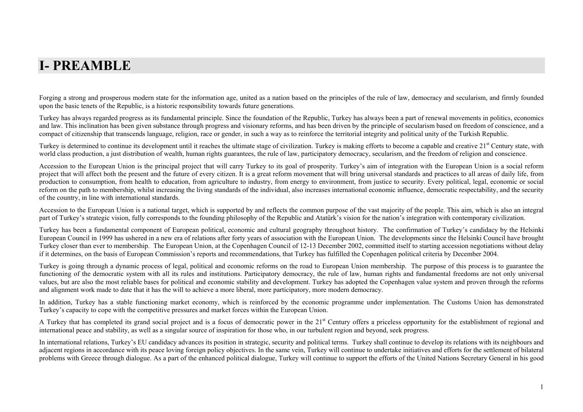## **I- PREAMBLE**

Forging a strong and prosperous modern state for the information age, united as a nation based on the principles of the rule of law, democracy and secularism, and firmly founded upon the basic tenets of the Republic, is a historic responsibility towards future generations.

Turkey has always regarded progress as its fundamental principle. Since the foundation of the Republic, Turkey has always been a part of renewal movements in politics, economics and law. This inclination has been given substance through progress and visionary reforms, and has been driven by the principle of secularism based on freedom of conscience, and a compact of citizenship that transcends language, religion, race or gender, in such a way as to reinforce the territorial integrity and political unity of the Turkish Republic.

Turkey is determined to continue its development until it reaches the ultimate stage of civilization. Turkey is making efforts to become a capable and creative 21<sup>st</sup> Century state, with world class production, a just distribution of wealth, human rights guarantees, the rule of law, participatory democracy, secularism, and the freedom of religion and conscience.

Accession to the European Union is the principal project that will carry Turkey to its goal of prosperity. Turkey's aim of integration with the European Union is a social reform project that will affect both the present and the future of every citizen. It is a great reform movement that will bring universal standards and practices to all areas of daily life, from production to consumption, from health to education, from agriculture to industry, from energy to environment, from justice to security. Every political, legal, economic or social reform on the path to membership, whilst increasing the living standards of the individual, also increases international economic influence, democratic respectability, and the security of the country, in line with international standards.

Accession to the European Union is a national target, which is supported by and reflects the common purpose of the vast majority of the people. This aim, which is also an integral part of Turkey's strategic vision, fully corresponds to the founding philosophy of the Republic and Atatürk's vision for the nation's integration with contemporary civilization.

Turkey has been a fundamental component of European political, economic and cultural geography throughout history. The confirmation of Turkey's candidacy by the Helsinki European Council in 1999 has ushered in a new era of relations after forty years of association with the European Union. The developments since the Helsinki Council have brought Turkey closer than ever to membership. The European Union, at the Copenhagen Council of 12-13 December 2002, committed itself to starting accession negotiations without delay if it determines, on the basis of European Commission's reports and recommendations, that Turkey has fulfilled the Copenhagen political criteria by December 2004.

Turkey is going through a dynamic process of legal, political and economic reforms on the road to European Union membership. The purpose of this process is to guarantee the functioning of the democratic system with all its rules and institutions. Participatory democracy, the rule of law, human rights and fundamental freedoms are not only universal values, but are also the most reliable bases for political and economic stability and development. Turkey has adopted the Copenhagen value system and proven through the reforms and alignment work made to date that it has the will to achieve a more liberal, more participatory, more modern democracy.

In addition, Turkey has a stable functioning market economy, which is reinforced by the economic programme under implementation. The Customs Union has demonstrated Turkey's capacity to cope with the competitive pressures and market forces within the European Union.

A Turkey that has completed its grand social project and is a focus of democratic power in the 21<sup>st</sup> Century offers a priceless opportunity for the establishment of regional and international peace and stability, as well as a singular source of inspiration for those who, in our turbulent region and beyond, seek progress.

In international relations, Turkey's EU candidacy advances its position in strategic, security and political terms. Turkey shall continue to develop its relations with its neighbours and adjacent regions in accordance with its peace loving foreign policy objectives. In the same vein, Turkey will continue to undertake initiatives and efforts for the settlement of bilateral problems with Greece through dialogue. As a part of the enhanced political dialogue, Turkey will continue to support the efforts of the United Nations Secretary General in his good